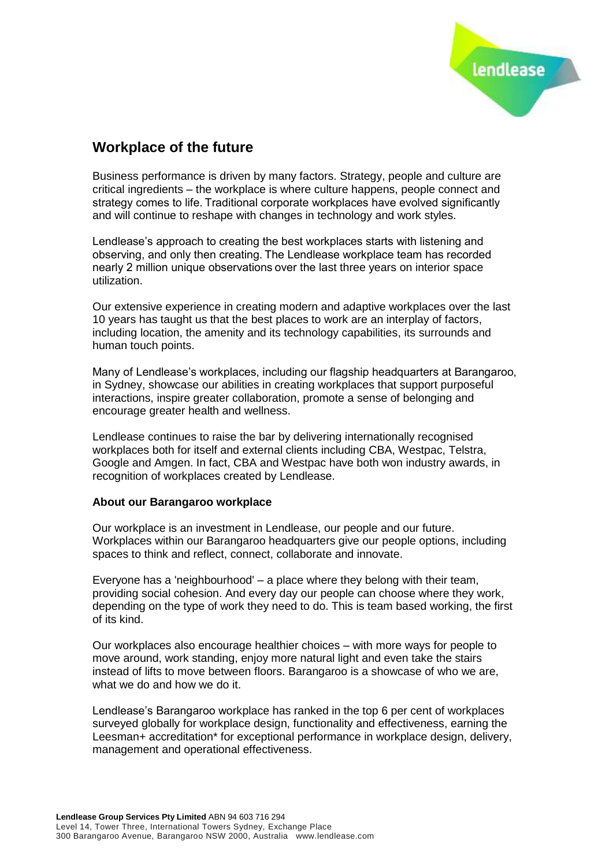

## **Workplace of the future**

Business performance is driven by many factors. Strategy, people and culture are critical ingredients – the workplace is where culture happens, people connect and strategy comes to life. Traditional corporate workplaces have evolved significantly and will continue to reshape with changes in technology and work styles.

Lendlease's approach to creating the best workplaces starts with listening and observing, and only then creating. The Lendlease workplace team has recorded nearly 2 million unique observations over the last three years on interior space utilization.

Our extensive experience in creating modern and adaptive workplaces over the last 10 years has taught us that the best places to work are an interplay of factors, including location, the amenity and its technology capabilities, its surrounds and human touch points.

Many of Lendlease's workplaces, including our flagship headquarters at Barangaroo, in Sydney, showcase our abilities in creating workplaces that support purposeful interactions, inspire greater collaboration, promote a sense of belonging and encourage greater health and wellness.

Lendlease continues to raise the bar by delivering internationally recognised workplaces both for itself and external clients including CBA, Westpac, Telstra, Google and Amgen. In fact, CBA and Westpac have both won industry awards, in recognition of workplaces created by Lendlease.

## **About our Barangaroo workplace**

Our workplace is an investment in Lendlease, our people and our future. Workplaces within our Barangaroo headquarters give our people options, including spaces to think and reflect, connect, collaborate and innovate.

Everyone has a 'neighbourhood' – a place where they belong with their team, providing social cohesion. And every day our people can choose where they work, depending on the type of work they need to do. This is team based working, the first of its kind.

Our workplaces also encourage healthier choices – with more ways for people to move around, work standing, enjoy more natural light and even take the stairs instead of lifts to move between floors. Barangaroo is a showcase of who we are, what we do and how we do it.

Lendlease's Barangaroo workplace has ranked in the top 6 per cent of workplaces surveyed globally for workplace design, functionality and effectiveness, earning the Leesman+ accreditation\* for exceptional performance in workplace design, delivery, management and operational effectiveness.